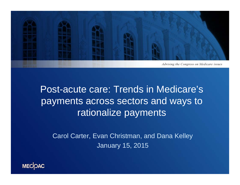

### Post-acute care: Trends in Medicare's payments across sectors and ways to rationalize payments

Carol Carter, Evan Christman, and Dana Kelley January 15, 2015

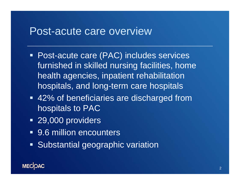#### Post-acute care overview

- Post-acute care (PAC) includes services furnished in skilled nursing facilities, home health agencies, inpatient rehabilitation hospitals, and long-term care hospitals
- 42% of beneficiaries are discharged from hospitals to PAC
- 29,000 providers
- 9.6 million encounters
- **Substantial geographic variation**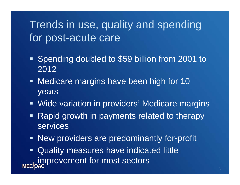## Trends in use, quality and spending for post-acute care

- **Spending doubled to \$59 billion from 2001 to** 2012
- **Medicare margins have been high for 10** years
- $\blacksquare$ Wide variation in providers' Medicare margins
- $\blacksquare$  Rapid growth in payments related to therapy services
- $\blacksquare$  . New providers are predominantly for-profit
- Ξ Quality measures have indicated little improvement for most sectors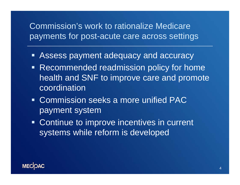#### Commission's work to rationalize Medicare payments for post-acute care across settings

- Ξ Assess payment adequacy and accuracy
- Ξ Recommended readmission policy for home health and SNF to improve care and promote coordination
- Commission seeks a more unified PAC payment system
- **Continue to improve incentives in current** systems while reform is developed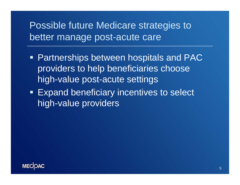### Possible future Medicare strategies to better manage post-acute care

- **Partnerships between hospitals and PAC** providers to help beneficiaries choose high-value post-acute settings
- **Expand beneficiary incentives to select** high-value providers

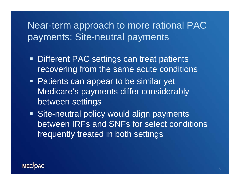### Near-term approach to more rational PAC payments: Site-neutral payments

- **Different PAC settings can treat patients** recovering from the same acute conditions
- **Patients can appear to be similar yet** Medicare's payments differ considerably between settings
- **Site-neutral policy would align payments** between IRFs and SNFs for select conditions frequently treated in both settings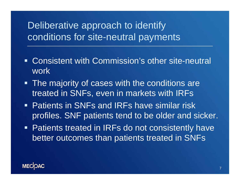#### Deliberative approach to identify conditions for site-neutral payments

- Consistent with Commission's other site-neutral work
- **The majority of cases with the conditions are** treated in SNFs, even in markets with IRFs
- Patients in SNFs and IRFs have similar risk profiles. SNF patients tend to be older and sicker.
- **Patients treated in IRFs do not consistently have** better outcomes than patients treated in SNFs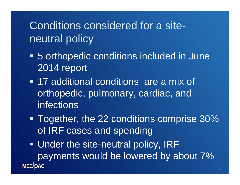## Conditions considered for a siteneutral policy

- 5 orthopedic conditions included in June 2014 report
- **17 additional conditions are a mix of** orthopedic, pulmonary, cardiac, and **infections**
- Together, the 22 conditions comprise 30% of IRF cases and spending
- Under the site-neutral policy, IRF payments would be lowered by about 7% **MECOAC**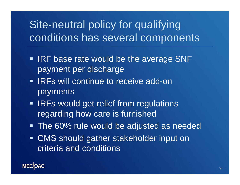# Site-neutral policy for qualifying conditions has several components

- **IRF base rate would be the average SNF** payment per discharge
- **IRFs will continue to receive add-on** payments
- **IRFs would get relief from regulations** regarding how care is furnished
- **The 60% rule would be adjusted as needed**
- CMS should gather stakeholder input on criteria and conditions